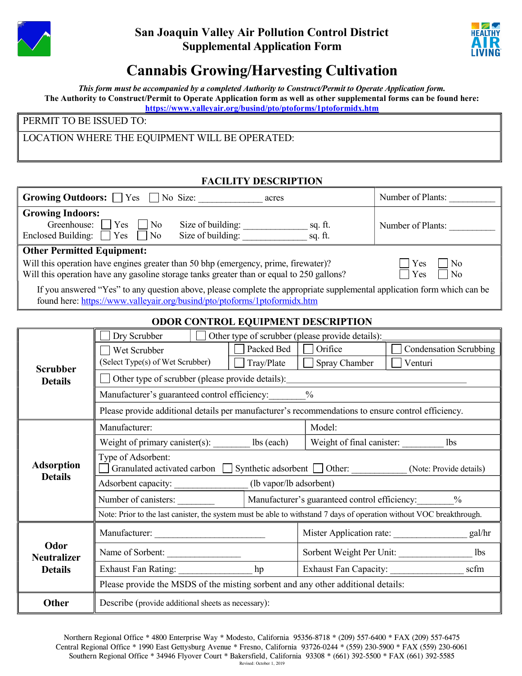

## San Joaquin Valley Air Pollution Control District Supplemental Application Form



## Cannabis Growing/Harvesting Cultivation

This form must be accompanied by a completed Authority to Construct/Permit to Operate Application form. The Authority to Construct/Permit to Operate Application form as well as other supplemental forms can be found here: https://www.valleyair.org/busind/pto/ptoforms/1ptoformidx.htm

PERMIT TO BE ISSUED TO:

LOCATION WHERE THE EQUIPMENT WILL BE OPERATED:

## FACILITY DESCRIPTION

|                                                                                                                                                                                                            | <b>Growing Outdoors:</b> $\Box$ Yes $\Box$ No Size:                                                                  | acres             |                      | Number of Plants:                           |  |  |  |
|------------------------------------------------------------------------------------------------------------------------------------------------------------------------------------------------------------|----------------------------------------------------------------------------------------------------------------------|-------------------|----------------------|---------------------------------------------|--|--|--|
| <b>Growing Indoors:</b><br>Greenhouse:<br>Enclosed Building: $\Box$ Yes                                                                                                                                    | Yes<br>$\Box$ No<br>No                                                                                               | Size of building: | sq. ft.              | Number of Plants:                           |  |  |  |
| <b>Other Permitted Equipment:</b>                                                                                                                                                                          |                                                                                                                      |                   |                      |                                             |  |  |  |
| Will this operation have engines greater than 50 bhp (emergency, prime, firewater)?<br>Yes<br>No<br>Will this operation have any gasoline storage tanks greater than or equal to 250 gallons?<br>Yes<br>No |                                                                                                                      |                   |                      |                                             |  |  |  |
| If you answered "Yes" to any question above, please complete the appropriate supplemental application form which can be<br>found here: https://www.valleyair.org/busind/pto/ptoforms/1ptoformidx.htm       |                                                                                                                      |                   |                      |                                             |  |  |  |
| <b>ODOR CONTROL EQUIPMENT DESCRIPTION</b>                                                                                                                                                                  |                                                                                                                      |                   |                      |                                             |  |  |  |
| <b>Scrubber</b><br><b>Details</b>                                                                                                                                                                          | Dry Scrubber<br>Other type of scrubber (please provide details):                                                     |                   |                      |                                             |  |  |  |
|                                                                                                                                                                                                            | Wet Scrubber                                                                                                         | Packed Bed        | Orifice              | <b>Condensation Scrubbing</b>               |  |  |  |
|                                                                                                                                                                                                            | (Select Type(s) of Wet Scrubber)                                                                                     | $\Box$ Tray/Plate | $\Box$ Spray Chamber | Venturi                                     |  |  |  |
|                                                                                                                                                                                                            | Other type of scrubber (please provide details):                                                                     |                   |                      |                                             |  |  |  |
|                                                                                                                                                                                                            | $\frac{0}{0}$<br>Manufacturer's guaranteed control efficiency:                                                       |                   |                      |                                             |  |  |  |
|                                                                                                                                                                                                            | Please provide additional details per manufacturer's recommendations to ensure control efficiency.                   |                   |                      |                                             |  |  |  |
| <b>Adsorption</b><br><b>Details</b>                                                                                                                                                                        | Manufacturer:                                                                                                        |                   | Model:               |                                             |  |  |  |
|                                                                                                                                                                                                            | Weight of primary canister(s): _______ lbs (each)   Weight of final canister: _________                              |                   | 1 <sub>bs</sub>      |                                             |  |  |  |
|                                                                                                                                                                                                            | Type of Adsorbent:<br>Granulated activated carbon Synthetic adsorbent Other:<br>(Note: Provide details)              |                   |                      |                                             |  |  |  |
|                                                                                                                                                                                                            | Adsorbent capacity: _______________ (lb vapor/lb adsorbent)                                                          |                   |                      |                                             |  |  |  |
|                                                                                                                                                                                                            | Manufacturer's guaranteed control efficiency:<br>$\frac{0}{0}$<br>Number of canisters:                               |                   |                      |                                             |  |  |  |
|                                                                                                                                                                                                            | Note: Prior to the last canister, the system must be able to withstand 7 days of operation without VOC breakthrough. |                   |                      |                                             |  |  |  |
| Odor<br><b>Neutralizer</b><br><b>Details</b>                                                                                                                                                               | Manufacturer:                                                                                                        |                   |                      | Mister Application rate:<br>gal/hr          |  |  |  |
|                                                                                                                                                                                                            | Name of Sorbent:                                                                                                     |                   |                      | Sorbent Weight Per Unit:<br>1 <sub>bs</sub> |  |  |  |
|                                                                                                                                                                                                            |                                                                                                                      | hp                |                      | scfm<br><b>Exhaust Fan Capacity:</b>        |  |  |  |
|                                                                                                                                                                                                            | Please provide the MSDS of the misting sorbent and any other additional details:                                     |                   |                      |                                             |  |  |  |
| Other                                                                                                                                                                                                      | Describe (provide additional sheets as necessary):                                                                   |                   |                      |                                             |  |  |  |